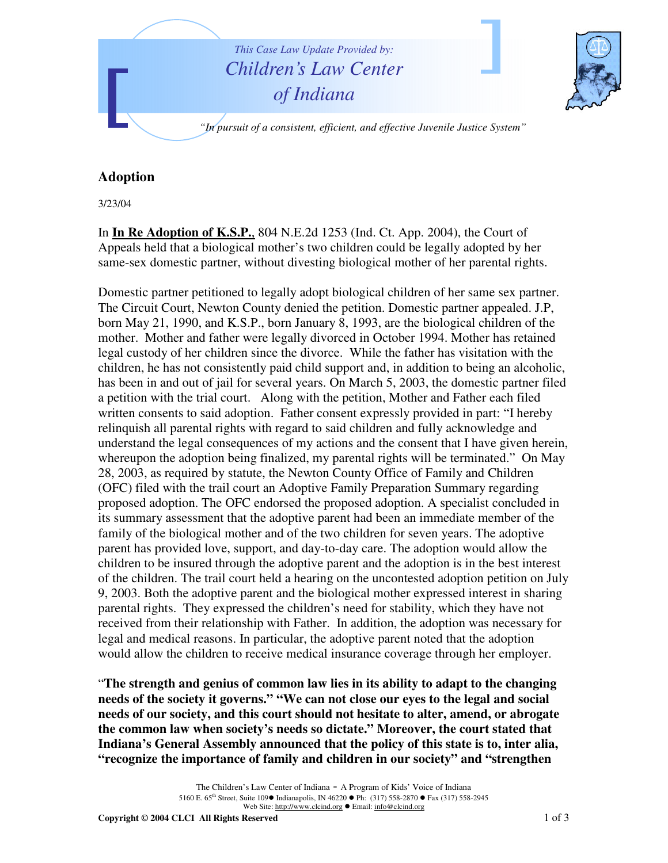

## **Adoption**

3/23/04

In **In Re Adoption of K.S.P.**, 804 N.E.2d 1253 (Ind. Ct. App. 2004), the Court of Appeals held that a biological mother's two children could be legally adopted by her same-sex domestic partner, without divesting biological mother of her parental rights.

Domestic partner petitioned to legally adopt biological children of her same sex partner. The Circuit Court, Newton County denied the petition. Domestic partner appealed. J.P, born May 21, 1990, and K.S.P., born January 8, 1993, are the biological children of the mother. Mother and father were legally divorced in October 1994. Mother has retained legal custody of her children since the divorce. While the father has visitation with the children, he has not consistently paid child support and, in addition to being an alcoholic, has been in and out of jail for several years. On March 5, 2003, the domestic partner filed a petition with the trial court. Along with the petition, Mother and Father each filed written consents to said adoption. Father consent expressly provided in part: "I hereby relinquish all parental rights with regard to said children and fully acknowledge and understand the legal consequences of my actions and the consent that I have given herein, whereupon the adoption being finalized, my parental rights will be terminated." On May 28, 2003, as required by statute, the Newton County Office of Family and Children (OFC) filed with the trail court an Adoptive Family Preparation Summary regarding proposed adoption. The OFC endorsed the proposed adoption. A specialist concluded in its summary assessment that the adoptive parent had been an immediate member of the family of the biological mother and of the two children for seven years. The adoptive parent has provided love, support, and day-to-day care. The adoption would allow the children to be insured through the adoptive parent and the adoption is in the best interest of the children. The trail court held a hearing on the uncontested adoption petition on July 9, 2003. Both the adoptive parent and the biological mother expressed interest in sharing parental rights. They expressed the children's need for stability, which they have not received from their relationship with Father. In addition, the adoption was necessary for legal and medical reasons. In particular, the adoptive parent noted that the adoption would allow the children to receive medical insurance coverage through her employer.

"**The strength and genius of common law lies in its ability to adapt to the changing needs of the society it governs." "We can not close our eyes to the legal and social needs of our society, and this court should not hesitate to alter, amend, or abrogate the common law when society's needs so dictate." Moreover, the court stated that Indiana's General Assembly announced that the policy of this state is to, inter alia, "recognize the importance of family and children in our society" and "strengthen**

> The Children's Law Center of Indiana - <sup>A</sup> Program of Kids' Voice of Indiana 5160 E. 65<sup>th</sup> Street, Suite 109● Indianapolis, IN 46220 ● Ph: (317) 558-2870 ● Fax (317) 558-2945 Web Site: http://www.clcind.org ● Email: info@clcind.org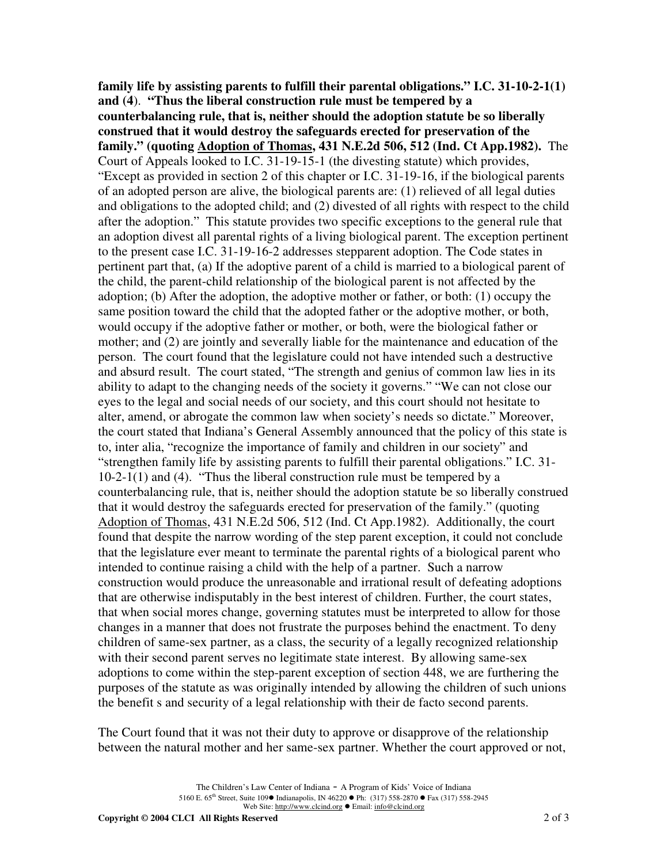**family life by assisting parents to fulfill their parental obligations." I.C. 31-10-2-1(1) and (4**). **"Thus the liberal construction rule must be tempered by a counterbalancing rule, that is, neither should the adoption statute be so liberally construed that it would destroy the safeguards erected for preservation of the family." (quoting Adoption of Thomas, 431 N.E.2d 506, 512 (Ind. Ct App.1982).** The Court of Appeals looked to I.C. 31-19-15-1 (the divesting statute) which provides, "Except as provided in section 2 of this chapter or I.C. 31-19-16, if the biological parents of an adopted person are alive, the biological parents are: (1) relieved of all legal duties and obligations to the adopted child; and (2) divested of all rights with respect to the child after the adoption." This statute provides two specific exceptions to the general rule that an adoption divest all parental rights of a living biological parent. The exception pertinent to the present case I.C. 31-19-16-2 addresses stepparent adoption. The Code states in pertinent part that, (a) If the adoptive parent of a child is married to a biological parent of the child, the parent-child relationship of the biological parent is not affected by the adoption; (b) After the adoption, the adoptive mother or father, or both: (1) occupy the same position toward the child that the adopted father or the adoptive mother, or both, would occupy if the adoptive father or mother, or both, were the biological father or mother; and (2) are jointly and severally liable for the maintenance and education of the person. The court found that the legislature could not have intended such a destructive and absurd result. The court stated, "The strength and genius of common law lies in its ability to adapt to the changing needs of the society it governs." "We can not close our eyes to the legal and social needs of our society, and this court should not hesitate to alter, amend, or abrogate the common law when society's needs so dictate." Moreover, the court stated that Indiana's General Assembly announced that the policy of this state is to, inter alia, "recognize the importance of family and children in our society" and "strengthen family life by assisting parents to fulfill their parental obligations." I.C. 31- 10-2-1(1) and (4). "Thus the liberal construction rule must be tempered by a counterbalancing rule, that is, neither should the adoption statute be so liberally construed that it would destroy the safeguards erected for preservation of the family." (quoting Adoption of Thomas, 431 N.E.2d 506, 512 (Ind. Ct App.1982). Additionally, the court found that despite the narrow wording of the step parent exception, it could not conclude that the legislature ever meant to terminate the parental rights of a biological parent who intended to continue raising a child with the help of a partner. Such a narrow construction would produce the unreasonable and irrational result of defeating adoptions that are otherwise indisputably in the best interest of children. Further, the court states, that when social mores change, governing statutes must be interpreted to allow for those changes in a manner that does not frustrate the purposes behind the enactment. To deny children of same-sex partner, as a class, the security of a legally recognized relationship with their second parent serves no legitimate state interest. By allowing same-sex adoptions to come within the step-parent exception of section 448, we are furthering the purposes of the statute as was originally intended by allowing the children of such unions the benefit s and security of a legal relationship with their de facto second parents.

The Court found that it was not their duty to approve or disapprove of the relationship between the natural mother and her same-sex partner. Whether the court approved or not,

> The Children's Law Center of Indiana - <sup>A</sup> Program of Kids' Voice of Indiana 5160 E. 65<sup>th</sup> Street, Suite 109● Indianapolis, IN 46220 ● Ph: (317) 558-2870 ● Fax (317) 558-2945 Web Site: http://www.clcind.org ● Email: info@clcind.org